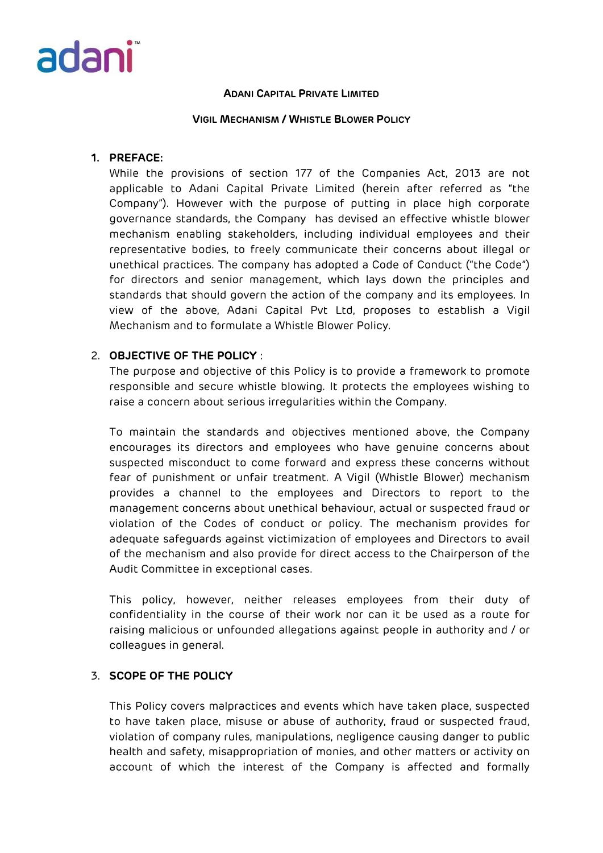

#### **VIGIL MECHANISM / WHISTLE BLOWER POLICY**

## **1. PREFACE:**

While the provisions of section 177 of the Companies Act, 2013 are not applicable to Adani Capital Private Limited (herein after referred as "the Company"). However with the purpose of putting in place high corporate governance standards, the Company has devised an effective whistle blower mechanism enabling stakeholders, including individual employees and their representative bodies, to freely communicate their concerns about illegal or unethical practices. The company has adopted a Code of Conduct ("the Code") for directors and senior management, which lays down the principles and standards that should govern the action of the company and its employees. In view of the above, Adani Capital Pvt Ltd, proposes to establish a Vigil Mechanism and to formulate a Whistle Blower Policy.

# 2. **OBJECTIVE OF THE POLICY** :

The purpose and objective of this Policy is to provide a framework to promote responsible and secure whistle blowing. It protects the employees wishing to raise a concern about serious irregularities within the Company.

To maintain the standards and objectives mentioned above, the Company encourages its directors and employees who have genuine concerns about suspected misconduct to come forward and express these concerns without fear of punishment or unfair treatment. A Vigil (Whistle Blower) mechanism provides a channel to the employees and Directors to report to the management concerns about unethical behaviour, actual or suspected fraud or violation of the Codes of conduct or policy. The mechanism provides for adequate safeguards against victimization of employees and Directors to avail of the mechanism and also provide for direct access to the Chairperson of the Audit Committee in exceptional cases.

This policy, however, neither releases employees from their duty of confidentiality in the course of their work nor can it be used as a route for raising malicious or unfounded allegations against people in authority and / or colleagues in general.

## 3. **SCOPE OF THE POLICY**

This Policy covers malpractices and events which have taken place, suspected to have taken place, misuse or abuse of authority, fraud or suspected fraud, violation of company rules, manipulations, negligence causing danger to public health and safety, misappropriation of monies, and other matters or activity on account of which the interest of the Company is affected and formally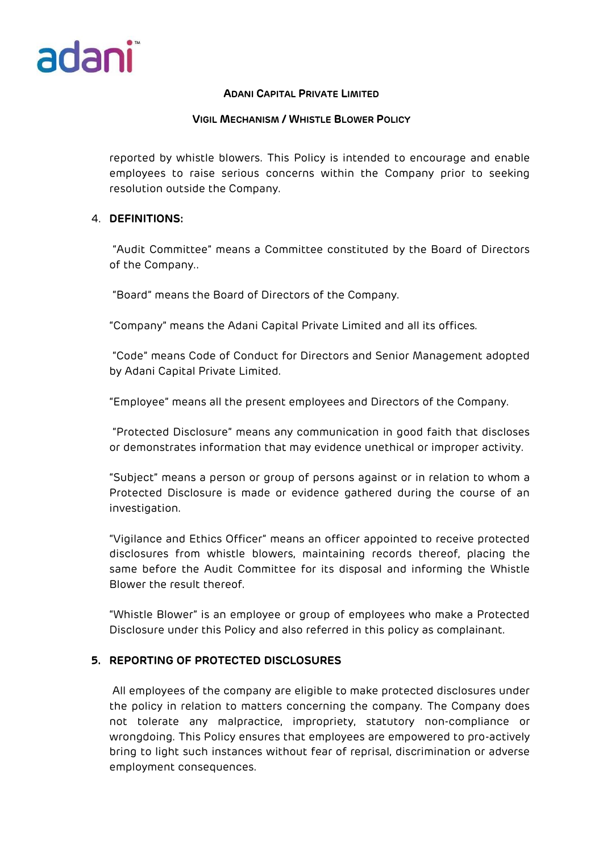

## **VIGIL MECHANISM / WHISTLE BLOWER POLICY**

reported by whistle blowers. This Policy is intended to encourage and enable employees to raise serious concerns within the Company prior to seeking resolution outside the Company.

## 4. **DEFINITIONS:**

"Audit Committee" means a Committee constituted by the Board of Directors of the Company..

"Board" means the Board of Directors of the Company.

"Company" means the Adani Capital Private Limited and all its offices.

"Code" means Code of Conduct for Directors and Senior Management adopted by Adani Capital Private Limited.

"Employee" means all the present employees and Directors of the Company.

"Protected Disclosure" means any communication in good faith that discloses or demonstrates information that may evidence unethical or improper activity.

"Subject" means a person or group of persons against or in relation to whom a Protected Disclosure is made or evidence gathered during the course of an investigation.

"Vigilance and Ethics Officer" means an officer appointed to receive protected disclosures from whistle blowers, maintaining records thereof, placing the same before the Audit Committee for its disposal and informing the Whistle Blower the result thereof.

"Whistle Blower" is an employee or group of employees who make a Protected Disclosure under this Policy and also referred in this policy as complainant.

# **5. REPORTING OF PROTECTED DISCLOSURES**

All employees of the company are eligible to make protected disclosures under the policy in relation to matters concerning the company. The Company does not tolerate any malpractice, impropriety, statutory non-compliance or wrongdoing. This Policy ensures that employees are empowered to pro-actively bring to light such instances without fear of reprisal, discrimination or adverse employment consequences.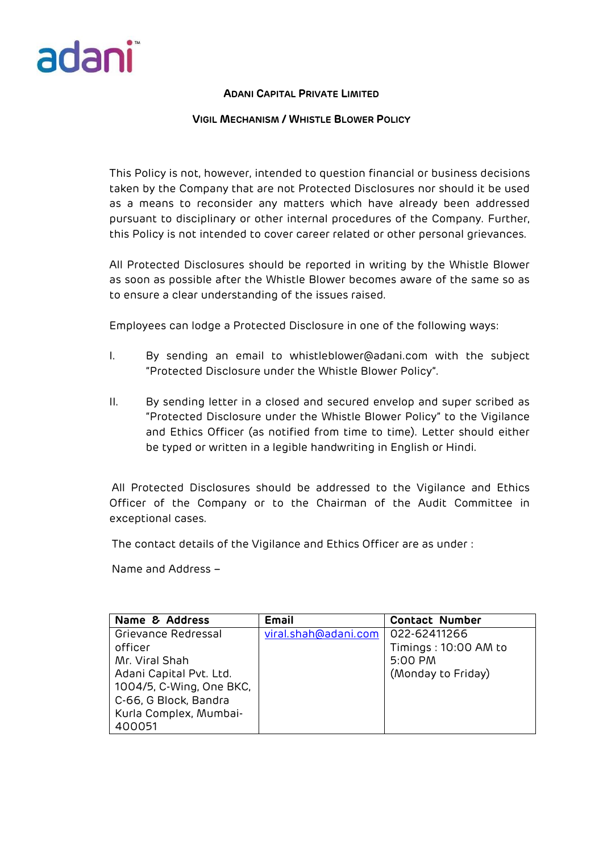

#### **VIGIL MECHANISM / WHISTLE BLOWER POLICY**

This Policy is not, however, intended to question financial or business decisions taken by the Company that are not Protected Disclosures nor should it be used as a means to reconsider any matters which have already been addressed pursuant to disciplinary or other internal procedures of the Company. Further, this Policy is not intended to cover career related or other personal grievances.

All Protected Disclosures should be reported in writing by the Whistle Blower as soon as possible after the Whistle Blower becomes aware of the same so as to ensure a clear understanding of the issues raised.

Employees can lodge a Protected Disclosure in one of the following ways:

- I. By sending an email to whistleblower@adani.com with the subject "Protected Disclosure under the Whistle Blower Policy".
- II. By sending letter in a closed and secured envelop and super scribed as "Protected Disclosure under the Whistle Blower Policy" to the Vigilance and Ethics Officer (as notified from time to time). Letter should either be typed or written in a legible handwriting in English or Hindi.

All Protected Disclosures should be addressed to the Vigilance and Ethics Officer of the Company or to the Chairman of the Audit Committee in exceptional cases.

The contact details of the Vigilance and Ethics Officer are as under :

Name and Address –

| Name & Address           | Email                | <b>Contact Number</b> |
|--------------------------|----------------------|-----------------------|
| Grievance Redressal      | viral.shah@adani.com | 022-62411266          |
| officer                  |                      | Timings: 10:00 AM to  |
| Mr. Viral Shah           |                      | 5:00 PM               |
| Adani Capital Pvt. Ltd.  |                      | (Monday to Friday)    |
| 1004/5, C-Wing, One BKC, |                      |                       |
| C-66, G Block, Bandra    |                      |                       |
| Kurla Complex, Mumbai-   |                      |                       |
| 400051                   |                      |                       |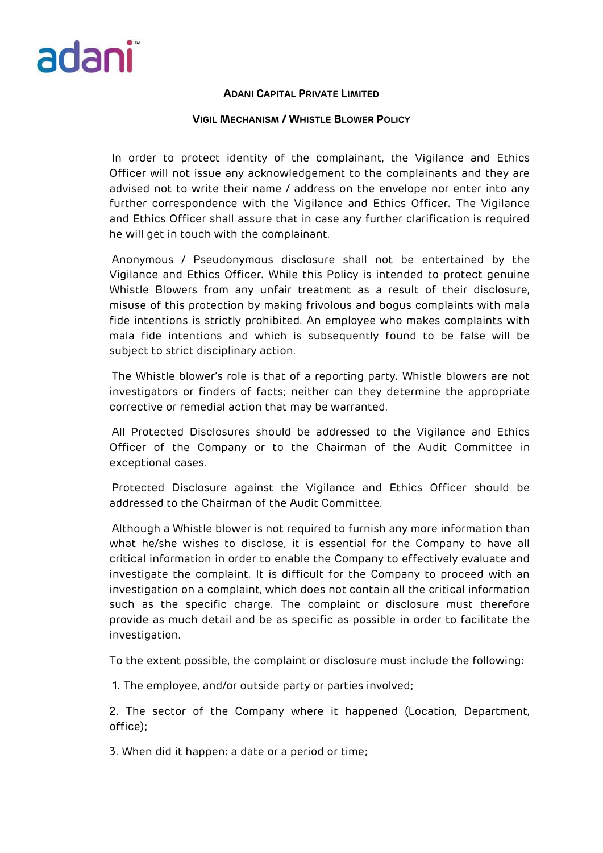

### **VIGIL MECHANISM / WHISTLE BLOWER POLICY**

In order to protect identity of the complainant, the Vigilance and Ethics Officer will not issue any acknowledgement to the complainants and they are advised not to write their name / address on the envelope nor enter into any further correspondence with the Vigilance and Ethics Officer. The Vigilance and Ethics Officer shall assure that in case any further clarification is required he will get in touch with the complainant.

Anonymous / Pseudonymous disclosure shall not be entertained by the Vigilance and Ethics Officer. While this Policy is intended to protect genuine Whistle Blowers from any unfair treatment as a result of their disclosure, misuse of this protection by making frivolous and bogus complaints with mala fide intentions is strictly prohibited. An employee who makes complaints with mala fide intentions and which is subsequently found to be false will be subject to strict disciplinary action.

The Whistle blower's role is that of a reporting party. Whistle blowers are not investigators or finders of facts; neither can they determine the appropriate corrective or remedial action that may be warranted.

All Protected Disclosures should be addressed to the Vigilance and Ethics Officer of the Company or to the Chairman of the Audit Committee in exceptional cases.

Protected Disclosure against the Vigilance and Ethics Officer should be addressed to the Chairman of the Audit Committee.

Although a Whistle blower is not required to furnish any more information than what he/she wishes to disclose, it is essential for the Company to have all critical information in order to enable the Company to effectively evaluate and investigate the complaint. It is difficult for the Company to proceed with an investigation on a complaint, which does not contain all the critical information such as the specific charge. The complaint or disclosure must therefore provide as much detail and be as specific as possible in order to facilitate the investigation.

To the extent possible, the complaint or disclosure must include the following:

1. The employee, and/or outside party or parties involved;

2. The sector of the Company where it happened (Location, Department, office);

3. When did it happen: a date or a period or time;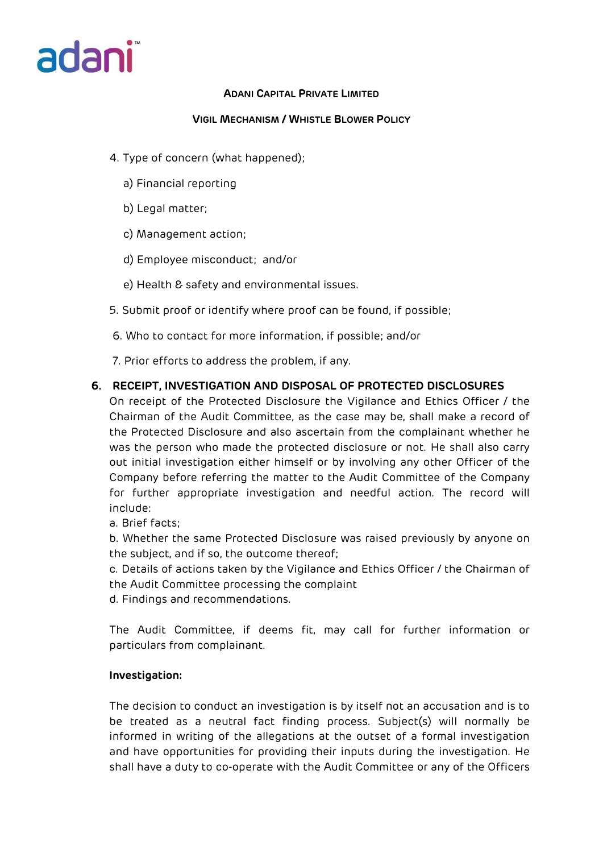# adani

# **ADANI CAPITAL PRIVATE LIMITED**

# **VIGIL MECHANISM / WHISTLE BLOWER POLICY**

- 4. Type of concern (what happened);
	- a) Financial reporting
	- b) Legal matter;
	- c) Management action;
	- d) Employee misconduct; and/or
	- e) Health & safety and environmental issues.
- 5. Submit proof or identify where proof can be found, if possible;
- 6. Who to contact for more information, if possible; and/or
- 7. Prior efforts to address the problem, if any.

# **6. RECEIPT, INVESTIGATION AND DISPOSAL OF PROTECTED DISCLOSURES**

On receipt of the Protected Disclosure the Vigilance and Ethics Officer / the Chairman of the Audit Committee, as the case may be, shall make a record of the Protected Disclosure and also ascertain from the complainant whether he was the person who made the protected disclosure or not. He shall also carry out initial investigation either himself or by involving any other Officer of the Company before referring the matter to the Audit Committee of the Company for further appropriate investigation and needful action. The record will include:

a. Brief facts;

b. Whether the same Protected Disclosure was raised previously by anyone on the subject, and if so, the outcome thereof;

c. Details of actions taken by the Vigilance and Ethics Officer / the Chairman of the Audit Committee processing the complaint

d. Findings and recommendations.

The Audit Committee, if deems fit, may call for further information or particulars from complainant.

# **Investigation:**

The decision to conduct an investigation is by itself not an accusation and is to be treated as a neutral fact finding process. Subject(s) will normally be informed in writing of the allegations at the outset of a formal investigation and have opportunities for providing their inputs during the investigation. He shall have a duty to co-operate with the Audit Committee or any of the Officers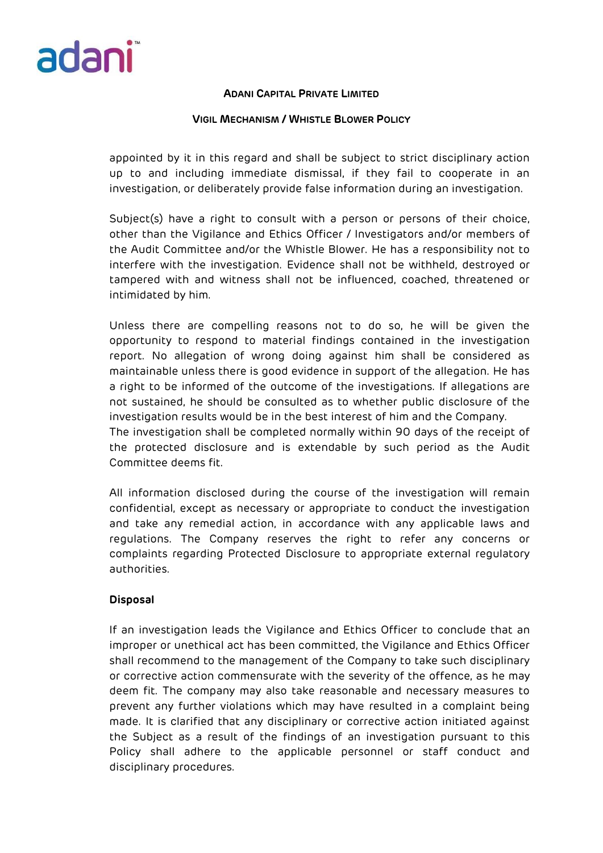

### **VIGIL MECHANISM / WHISTLE BLOWER POLICY**

appointed by it in this regard and shall be subject to strict disciplinary action up to and including immediate dismissal, if they fail to cooperate in an investigation, or deliberately provide false information during an investigation.

Subject(s) have a right to consult with a person or persons of their choice, other than the Vigilance and Ethics Officer / Investigators and/or members of the Audit Committee and/or the Whistle Blower. He has a responsibility not to interfere with the investigation. Evidence shall not be withheld, destroyed or tampered with and witness shall not be influenced, coached, threatened or intimidated by him.

Unless there are compelling reasons not to do so, he will be given the opportunity to respond to material findings contained in the investigation report. No allegation of wrong doing against him shall be considered as maintainable unless there is good evidence in support of the allegation. He has a right to be informed of the outcome of the investigations. If allegations are not sustained, he should be consulted as to whether public disclosure of the investigation results would be in the best interest of him and the Company. The investigation shall be completed normally within 90 days of the receipt of the protected disclosure and is extendable by such period as the Audit

Committee deems fit.

All information disclosed during the course of the investigation will remain confidential, except as necessary or appropriate to conduct the investigation and take any remedial action, in accordance with any applicable laws and regulations. The Company reserves the right to refer any concerns or complaints regarding Protected Disclosure to appropriate external regulatory authorities.

## **Disposal**

If an investigation leads the Vigilance and Ethics Officer to conclude that an improper or unethical act has been committed, the Vigilance and Ethics Officer shall recommend to the management of the Company to take such disciplinary or corrective action commensurate with the severity of the offence, as he may deem fit. The company may also take reasonable and necessary measures to prevent any further violations which may have resulted in a complaint being made. It is clarified that any disciplinary or corrective action initiated against the Subject as a result of the findings of an investigation pursuant to this Policy shall adhere to the applicable personnel or staff conduct and disciplinary procedures.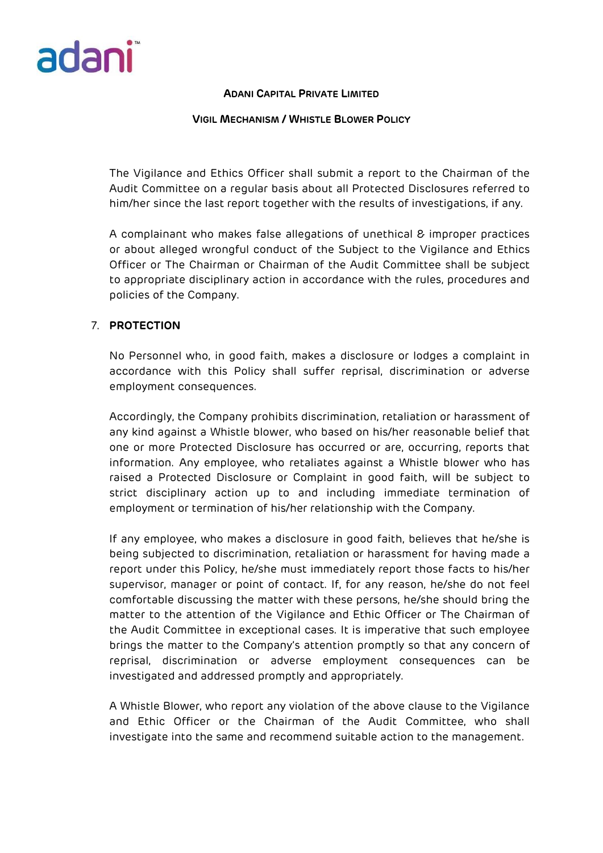

#### **VIGIL MECHANISM / WHISTLE BLOWER POLICY**

The Vigilance and Ethics Officer shall submit a report to the Chairman of the Audit Committee on a regular basis about all Protected Disclosures referred to him/her since the last report together with the results of investigations, if any.

A complainant who makes false allegations of unethical & improper practices or about alleged wrongful conduct of the Subject to the Vigilance and Ethics Officer or The Chairman or Chairman of the Audit Committee shall be subject to appropriate disciplinary action in accordance with the rules, procedures and policies of the Company.

## 7. **PROTECTION**

No Personnel who, in good faith, makes a disclosure or lodges a complaint in accordance with this Policy shall suffer reprisal, discrimination or adverse employment consequences.

Accordingly, the Company prohibits discrimination, retaliation or harassment of any kind against a Whistle blower, who based on his/her reasonable belief that one or more Protected Disclosure has occurred or are, occurring, reports that information. Any employee, who retaliates against a Whistle blower who has raised a Protected Disclosure or Complaint in good faith, will be subject to strict disciplinary action up to and including immediate termination of employment or termination of his/her relationship with the Company.

If any employee, who makes a disclosure in good faith, believes that he/she is being subjected to discrimination, retaliation or harassment for having made a report under this Policy, he/she must immediately report those facts to his/her supervisor, manager or point of contact. If, for any reason, he/she do not feel comfortable discussing the matter with these persons, he/she should bring the matter to the attention of the Vigilance and Ethic Officer or The Chairman of the Audit Committee in exceptional cases. It is imperative that such employee brings the matter to the Company's attention promptly so that any concern of reprisal, discrimination or adverse employment consequences can be investigated and addressed promptly and appropriately.

A Whistle Blower, who report any violation of the above clause to the Vigilance and Ethic Officer or the Chairman of the Audit Committee, who shall investigate into the same and recommend suitable action to the management.